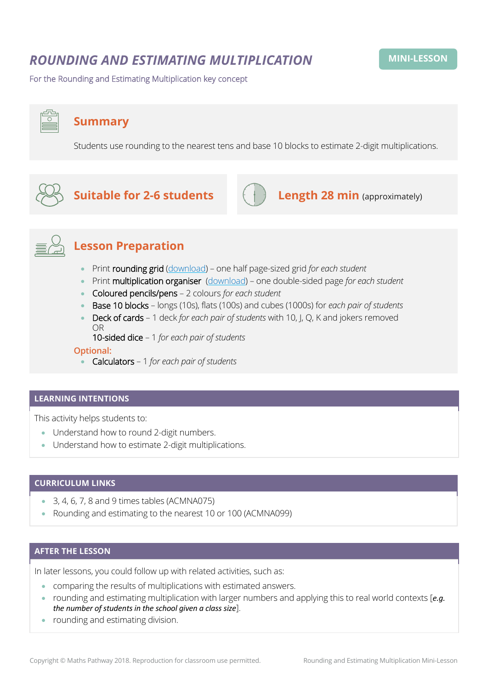# *ROUNDING AND ESTIMATING MULTIPLICATION*

For the Rounding and Estimating Multiplication key concept

# **Summary**

Students use rounding to the nearest tens and base 10 blocks to estimate 2-digit multiplications.



# **Suitable for 2-6 students Length 28 min** (approximately)



## **Lesson Preparation**

- Print rounding grid [\(download\)](https://mpcontent.blob.core.windows.net/mini-lesson-resources/Rounding%20and%20Estimating%20Multiplication%20-%20Rounding%20Grid.pdf) one half page-sized grid *for each student*
- Print multiplication organiser [\(download\)](https://mpcontent.blob.core.windows.net/mini-lesson-resources/Rounding%20and%20Estimating%20Multiplication%20-%20Multiplication%20organiser.pdf) one double-sided page *for each student*
- Coloured pencils/pens 2 colours *for each student*
- Base 10 blocks longs (10s), flats (100s) and cubes (1000s) for *each pair of students*
- Deck of cards 1 deck *for each pair of students* with 10, J, Q, K and jokers removed OR

10-sided dice – 1 *for each pair of students*

#### **Optional:**

• Calculators – 1 *for each pair of students*

#### **LEARNING INTENTIONS**

This activity helps students to:

- Understand how to round 2-digit numbers.
- Understand how to estimate 2-digit multiplications.

#### **CURRICULUM LINKS**

- $\bullet$  3, 4, 6, 7, 8 and 9 times tables (ACMNA075)
- Rounding and estimating to the nearest 10 or 100 (ACMNA099)

#### **AFTER THE LESSON**

In later lessons, you could follow up with related activities, such as:

- comparing the results of multiplications with estimated answers.
- rounding and estimating multiplication with larger numbers and applying this to real world contexts [*e.g. the number of students in the school given a class size*].
- rounding and estimating division.